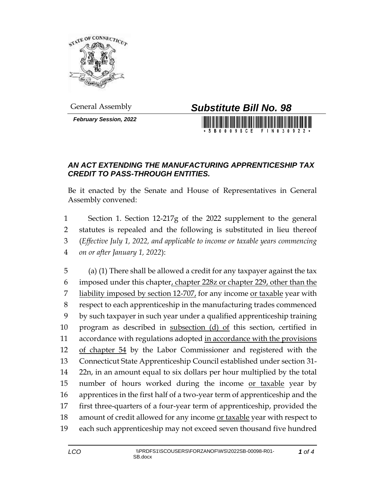

*February Session, 2022*



**BOOOSCF** 

## *AN ACT EXTENDING THE MANUFACTURING APPRENTICESHIP TAX CREDIT TO PASS-THROUGH ENTITIES.*

Be it enacted by the Senate and House of Representatives in General Assembly convened:

 Section 1. Section 12-217g of the 2022 supplement to the general statutes is repealed and the following is substituted in lieu thereof (*Effective July 1, 2022, and applicable to income or taxable years commencing on or after January 1, 2022*):

 (a) (1) There shall be allowed a credit for any taxpayer against the tax imposed under this chapter, chapter 228z or chapter 229, other than the liability imposed by section 12-707, for any income or taxable year with respect to each apprenticeship in the manufacturing trades commenced by such taxpayer in such year under a qualified apprenticeship training 10 program as described in subsection (d) of this section, certified in 11 accordance with regulations adopted in accordance with the provisions of chapter 54 by the Labor Commissioner and registered with the Connecticut State Apprenticeship Council established under section 31- 22n, in an amount equal to six dollars per hour multiplied by the total number of hours worked during the income or taxable year by apprentices in the first half of a two-year term of apprenticeship and the first three-quarters of a four-year term of apprenticeship, provided the 18 amount of credit allowed for any income or taxable year with respect to each such apprenticeship may not exceed seven thousand five hundred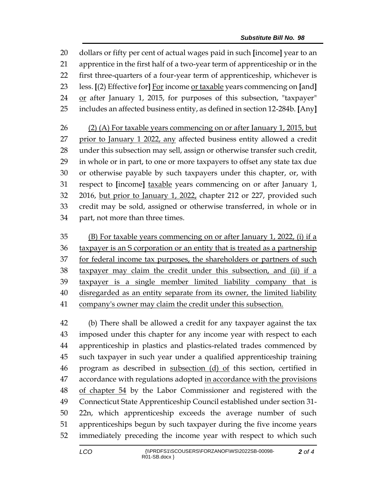dollars or fifty per cent of actual wages paid in such **[**income**]** year to an apprentice in the first half of a two-year term of apprenticeship or in the first three-quarters of a four-year term of apprenticeship, whichever is less. **[**(2) Effective for**]** For income or taxable years commencing on **[**and**]** 24 or after January 1, 2015, for purposes of this subsection, "taxpayer" includes an affected business entity, as defined in section 12-284b. **[**Any**]** (2) (A) For taxable years commencing on or after January 1, 2015, but prior to January 1 2022, any affected business entity allowed a credit under this subsection may sell, assign or otherwise transfer such credit, in whole or in part, to one or more taxpayers to offset any state tax due or otherwise payable by such taxpayers under this chapter, or, with respect to **[**income**]** taxable years commencing on or after January 1, 2016, but prior to January 1, 2022, chapter 212 or 227, provided such

 credit may be sold, assigned or otherwise transferred, in whole or in part, not more than three times.

 (B) For taxable years commencing on or after January 1, 2022, (i) if a 36 taxpayer is an S corporation or an entity that is treated as a partnership for federal income tax purposes, the shareholders or partners of such taxpayer may claim the credit under this subsection, and (ii) if a taxpayer is a single member limited liability company that is disregarded as an entity separate from its owner, the limited liability company's owner may claim the credit under this subsection.

 (b) There shall be allowed a credit for any taxpayer against the tax imposed under this chapter for any income year with respect to each apprenticeship in plastics and plastics-related trades commenced by such taxpayer in such year under a qualified apprenticeship training program as described in subsection (d) of this section, certified in 47 accordance with regulations adopted in accordance with the provisions 48 of chapter 54 by the Labor Commissioner and registered with the Connecticut State Apprenticeship Council established under section 31- 22n, which apprenticeship exceeds the average number of such apprenticeships begun by such taxpayer during the five income years immediately preceding the income year with respect to which such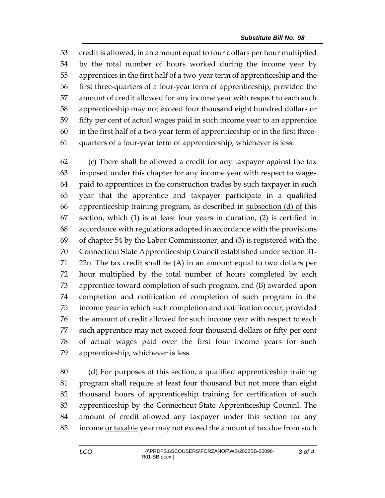credit is allowed, in an amount equal to four dollars per hour multiplied by the total number of hours worked during the income year by apprentices in the first half of a two-year term of apprenticeship and the first three-quarters of a four-year term of apprenticeship, provided the amount of credit allowed for any income year with respect to each such apprenticeship may not exceed four thousand eight hundred dollars or fifty per cent of actual wages paid in such income year to an apprentice in the first half of a two-year term of apprenticeship or in the first three-quarters of a four-year term of apprenticeship, whichever is less.

 (c) There shall be allowed a credit for any taxpayer against the tax imposed under this chapter for any income year with respect to wages paid to apprentices in the construction trades by such taxpayer in such year that the apprentice and taxpayer participate in a qualified 66 apprenticeship training program, as described in subsection  $(d)$  of this section, which (1) is at least four years in duration, (2) is certified in 68 accordance with regulations adopted in accordance with the provisions 69 of chapter by the Labor Commissioner, and (3) is registered with the Connecticut State Apprenticeship Council established under section 31- 22n. The tax credit shall be (A) in an amount equal to two dollars per hour multiplied by the total number of hours completed by each apprentice toward completion of such program, and (B) awarded upon completion and notification of completion of such program in the income year in which such completion and notification occur, provided the amount of credit allowed for such income year with respect to each such apprentice may not exceed four thousand dollars or fifty per cent of actual wages paid over the first four income years for such apprenticeship, whichever is less.

 (d) For purposes of this section, a qualified apprenticeship training program shall require at least four thousand but not more than eight thousand hours of apprenticeship training for certification of such apprenticeship by the Connecticut State Apprenticeship Council. The amount of credit allowed any taxpayer under this section for any 85 income or taxable year may not exceed the amount of tax due from such